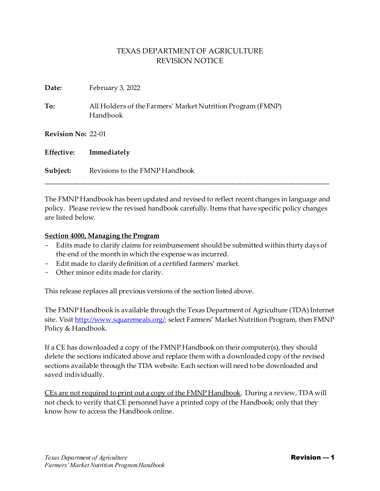| Date:                     | February 3, 2022                                                        |
|---------------------------|-------------------------------------------------------------------------|
| To:                       | All Holders of the Farmers' Market Nutrition Program (FMNP)<br>Handbook |
| <b>Revision No: 22-01</b> |                                                                         |
| Effective:                | Immediately                                                             |
| Subject:                  | Revisions to the FMNP Handbook                                          |

The FMNP Handbook has been updated and revised to reflect recent changes in language and policy. Please review the revised handbook carefully. Items that have specific policy changes are listed below.

\_\_\_\_\_\_\_\_\_\_\_\_\_\_\_\_\_\_\_\_\_\_\_\_\_\_\_\_\_\_\_\_\_\_\_\_\_\_\_\_\_\_\_\_\_\_\_\_\_\_\_\_\_\_\_\_\_\_\_\_\_\_\_\_\_\_\_\_\_\_\_\_\_\_\_\_

#### **Section 4000, Managing the Program**

- Edits made to clarify claims for reimbursement should be submitted within thirty days of the end of the month in which the expense was incurred.
- Edit made to clarify definition of a certified farmers' market.
- Other minor edits made for clarity.

This release replaces all previous versions of the section listed above.

The FMNP Handbook is available through the Texas Department of Agriculture (TDA) Internet site. Visi[t http://www.squaremeals.org/;](http://www.squaremeals.org/) select Farmers' Market Nutrition Program, then FMNP Policy & Handbook.

If a CE has downloaded a copy of the FMNP Handbook on their computer(s), they should delete the sections indicated above and replace them with a downloaded copy of the revised sections available through the TDA website. Each section will need to be downloaded and saved individually.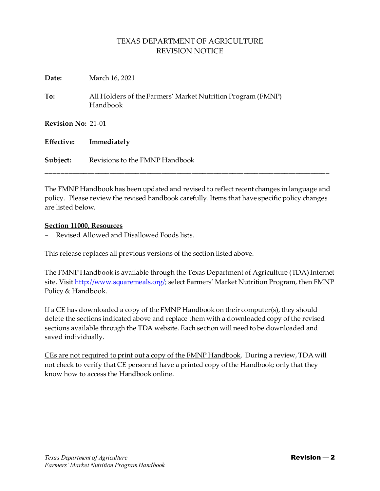| Date:                     | March 16, 2021                                                          |
|---------------------------|-------------------------------------------------------------------------|
| To:                       | All Holders of the Farmers' Market Nutrition Program (FMNP)<br>Handbook |
| <b>Revision No: 21-01</b> |                                                                         |
| Effective:                | Immediately                                                             |
| Subject:                  | Revisions to the FMNP Handbook                                          |

The FMNP Handbook has been updated and revised to reflect recent changes in language and policy. Please review the revised handbook carefully. Items that have specific policy changes are listed below.

\_\_\_\_\_\_\_\_\_\_\_\_\_\_\_\_\_\_\_\_\_\_\_\_\_\_\_\_\_\_\_\_\_\_\_\_\_\_\_\_\_\_\_\_\_\_\_\_\_\_\_\_\_\_\_\_\_\_\_\_\_\_\_\_\_\_\_\_\_\_\_\_\_\_\_\_

#### **Section 11000, Resources**

Revised Allowed and Disallowed Foods lists.

This release replaces all previous versions of the section listed above.

The FMNP Handbook is available through the Texas Department of Agriculture (TDA) Internet site. Visi[t http://www.squaremeals.org/;](http://www.squaremeals.org/) select Farmers' Market Nutrition Program, then FMNP Policy & Handbook.

If a CE has downloaded a copy of the FMNP Handbook on their computer(s), they should delete the sections indicated above and replace them with a downloaded copy of the revised sections available through the TDA website. Each section will need to be downloaded and saved individually.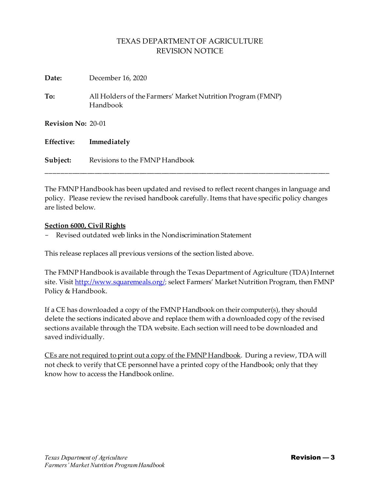| Date:                     | December 16, 2020                                                       |
|---------------------------|-------------------------------------------------------------------------|
| To:                       | All Holders of the Farmers' Market Nutrition Program (FMNP)<br>Handbook |
| <b>Revision No: 20-01</b> |                                                                         |
| Effective:                | Immediately                                                             |
| Subject:                  | Revisions to the FMNP Handbook                                          |

The FMNP Handbook has been updated and revised to reflect recent changes in language and policy. Please review the revised handbook carefully. Items that have specific policy changes are listed below.

\_\_\_\_\_\_\_\_\_\_\_\_\_\_\_\_\_\_\_\_\_\_\_\_\_\_\_\_\_\_\_\_\_\_\_\_\_\_\_\_\_\_\_\_\_\_\_\_\_\_\_\_\_\_\_\_\_\_\_\_\_\_\_\_\_\_\_\_\_\_\_\_\_\_\_\_

### **Section 6000, Civil Rights**

Revised outdated web links in the Nondiscrimination Statement

This release replaces all previous versions of the section listed above.

The FMNP Handbook is available through the Texas Department of Agriculture (TDA) Internet site. Visi[t http://www.squaremeals.org/;](http://www.squaremeals.org/) select Farmers' Market Nutrition Program, then FMNP Policy & Handbook.

If a CE has downloaded a copy of the FMNP Handbook on their computer(s), they should delete the sections indicated above and replace them with a downloaded copy of the revised sections available through the TDA website. Each section will need to be downloaded and saved individually.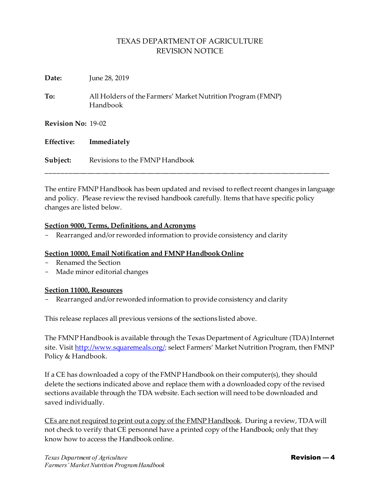| Date:                     | June 28, 2019                                                           |
|---------------------------|-------------------------------------------------------------------------|
| To:                       | All Holders of the Farmers' Market Nutrition Program (FMNP)<br>Handbook |
| <b>Revision No: 19-02</b> |                                                                         |
| <b>Effective:</b>         | Immediately                                                             |
| Subject:                  | Revisions to the FMNP Handbook                                          |

The entire FMNP Handbook has been updated and revised to reflect recent changes in language and policy. Please review the revised handbook carefully. Items that have specific policy changes are listed below.

\_\_\_\_\_\_\_\_\_\_\_\_\_\_\_\_\_\_\_\_\_\_\_\_\_\_\_\_\_\_\_\_\_\_\_\_\_\_\_\_\_\_\_\_\_\_\_\_\_\_\_\_\_\_\_\_\_\_\_\_\_\_\_\_\_\_\_\_\_\_\_\_\_\_\_\_

### **Section 9000, Terms, Definitions, and Acronyms**

Rearranged and/or reworded information to provide consistency and clarity

### **Section 10000, Email Notification and FMNP Handbook Online**

- Renamed the Section
- Made minor editorial changes

### **Section 11000, Resources**

Rearranged and/or reworded information to provide consistency and clarity

This release replaces all previous versions of the sections listed above.

The FMNP Handbook is available through the Texas Department of Agriculture (TDA) Internet site. Visi[t http://www.squaremeals.org/;](http://www.squaremeals.org/) select Farmers' Market Nutrition Program, then FMNP Policy & Handbook.

If a CE has downloaded a copy of the FMNP Handbook on their computer(s), they should delete the sections indicated above and replace them with a downloaded copy of the revised sections available through the TDA website. Each section will need to be downloaded and saved individually.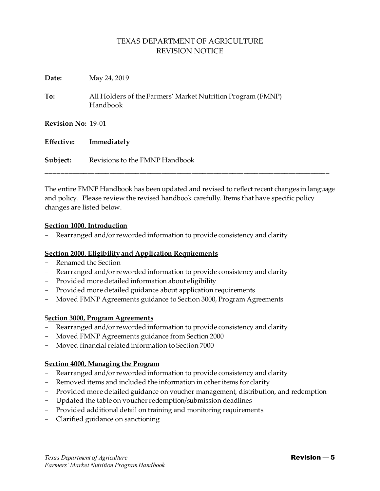| Date:                     | May 24, 2019                                                            |
|---------------------------|-------------------------------------------------------------------------|
| To:                       | All Holders of the Farmers' Market Nutrition Program (FMNP)<br>Handbook |
| <b>Revision No: 19-01</b> |                                                                         |
| <b>Effective:</b>         | Immediately                                                             |
| Subject:                  | Revisions to the FMNP Handbook                                          |

The entire FMNP Handbook has been updated and revised to reflect recent changes in language and policy. Please review the revised handbook carefully. Items that have specific policy changes are listed below.

\_\_\_\_\_\_\_\_\_\_\_\_\_\_\_\_\_\_\_\_\_\_\_\_\_\_\_\_\_\_\_\_\_\_\_\_\_\_\_\_\_\_\_\_\_\_\_\_\_\_\_\_\_\_\_\_\_\_\_\_\_\_\_\_\_\_\_\_\_\_\_\_\_\_\_\_

### **Section 1000, Introduction**

Rearranged and/or reworded information to provide consistency and clarity

### **Section 2000, Eligibility and Application Requirements**

- Renamed the Section
- Rearranged and/or reworded information to provide consistency and clarity
- Provided more detailed information about eligibility
- Provided more detailed guidance about application requirements
- Moved FMNP Agreements guidance to Section 3000, Program Agreements

### S**ection 3000, Program Agreements**

- Rearranged and/or reworded information to provide consistency and clarity
- Moved FMNP Agreements guidance from Section 2000
- Moved financial related information to Section 7000

### **Section 4000, Managing the Program**

- Rearranged and/or reworded information to provide consistency and clarity
- Removed items and included the information in other items for clarity
- Provided more detailed guidance on voucher management, distribution, and redemption
- Updated the table on voucher redemption/submission deadlines
- Provided additional detail on training and monitoring requirements
- Clarified guidance on sanctioning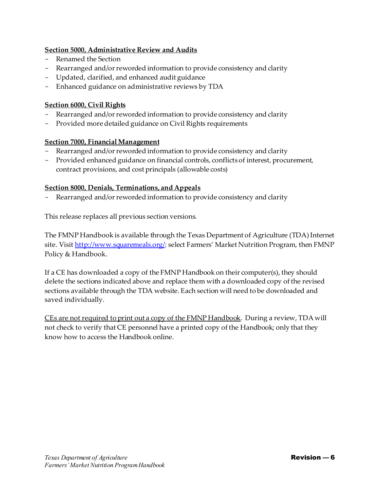## **Section 5000, Administrative Review and Audits**

- Renamed the Section
- Rearranged and/or reworded information to provide consistency and clarity
- Updated, clarified, and enhanced audit guidance
- Enhanced guidance on administrative reviews by TDA

## **Section 6000, Civil Rights**

- Rearranged and/or reworded information to provide consistency and clarity
- Provided more detailed guidance on Civil Rights requirements

## **Section 7000, Financial Management**

- Rearranged and/or reworded information to provide consistency and clarity
- Provided enhanced guidance on financial controls, conflicts of interest, procurement, contract provisions, and cost principals (allowable costs)

## **Section 8000, Denials, Terminations, and Appeals**

Rearranged and/or reworded information to provide consistency and clarity

This release replaces all previous section versions.

The FMNP Handbook is available through the Texas Department of Agriculture (TDA) Internet site. Visi[t http://www.squaremeals.org/;](http://www.squaremeals.org/) select Farmers' Market Nutrition Program, then FMNP Policy & Handbook.

If a CE has downloaded a copy of the FMNP Handbook on their computer(s), they should delete the sections indicated above and replace them with a downloaded copy of the revised sections available through the TDA website. Each section will need to be downloaded and saved individually.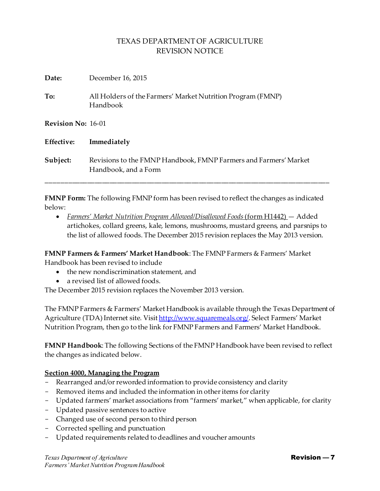| Date:                     | December 16, 2015                                                                        |
|---------------------------|------------------------------------------------------------------------------------------|
| To:                       | All Holders of the Farmers' Market Nutrition Program (FMNP)<br>Handbook                  |
| <b>Revision No: 16-01</b> |                                                                                          |
| Effective:                | Immediately                                                                              |
| Subject:                  | Revisions to the FMNP Handbook, FMNP Farmers and Farmers' Market<br>Handbook, and a Form |

**FMNP Form:** The following FMNP form has been revised to reflect the changes as indicated below:

• *Farmers' Market Nutrition Program Allowed/Disallowed Foods*(form H1442) — Added artichokes, collard greens, kale, lemons, mushrooms, mustard greens, and parsnips to the list of allowed foods. The December 2015 revision replaces the May 2013 version.

**FMNP Farmers & Farmers' Market Handbook**: The FMNP Farmers & Farmers' Market Handbook has been revised to include

- the new nondiscrimination statement, and
- a revised list of allowed foods.

The December 2015 revision replaces the November 2013 version.

The FMNP Farmers & Farmers' Market Handbook is available through the Texas Department of Agriculture (TDA) Internet site. Visi[t http://www.squaremeals.org/](http://www.squaremeals.org/). Select Farmers' Market Nutrition Program, then go to the link for FMNP Farmers and Farmers' Market Handbook.

**FMNP Handbook**: The following Sections of the FMNP Handbook have been revised to reflect the changes as indicated below.

## **Section 4000, Managing the Program**

- Rearranged and/or reworded information to provide consistency and clarity
- Removed items and included the information in other items for clarity
- Updated farmers' market associations from "farmers' market," when applicable, for clarity
- Updated passive sentences to active
- Changed use of second person to third person
- Corrected spelling and punctuation
- Updated requirements related to deadlines and voucher amounts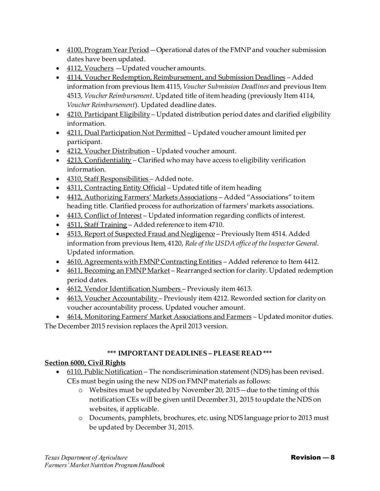- 4100, Program Year Period Operational dates of the FMNP and voucher submission dates have been updated.
- 4112, Vouchers Updated voucher amounts.
- 4114, Voucher Redemption, Reimbursement, and Submission Deadlines Added information from previous Item 4115, *Voucher Submission Deadlines* and previous Item 4513*, Voucher Reimbursement*. Updated title of item heading (previously Item 4114, *Voucher Reimbursement*). Updated deadline dates.
- 4210, Participant Eligibility Updated distribution period dates and clarified eligibility information.
- 4211, Dual Participation Not Permitted Updated voucher amount limited per participant.
- 4212, Voucher Distribution Updated voucher amount.
- 4213, Confidentiality Clarified who may have access to eligibility verification information.
- 4310, Staff Responsibilities Added note.
- 4311, Contracting Entity Official Updated title of item heading
- 4412, Authorizing Farmers' Markets Associations Added "Associations" to item heading title. Clarified process for authorization of farmers' markets associations.
- 4413, Conflict of Interest Updated information regarding conflicts of interest.
- 4511, Staff Training Added reference to item 4710.
- 4513, Report of Suspected Fraud and Negligence Previously Item 4514. Added information from previous Item, 4120, *Role of the USDA office of the Inspector General*. Updated information.
- 4610, Agreements with FMNP Contracting Entities Added reference to Item 4412.
- 4611, Becoming an FMNP Market Rearranged section for clarity. Updated redemption period dates.
- 4612, Vendor Identification Numbers Previously item 4613.
- 4613, Voucher Accountability Previously item 4212. Reworded section for clarity on voucher accountability process. Updated voucher amount.
- 4614, Monitoring Farmers' Market Associations and Farmers Updated monitor duties.

The December 2015 revision replaces the April 2013 version.

## **\*\*\* IMPORTANT DEADLINES – PLEASE READ \*\*\***

## **Section 6000, Civil Rights**

- 6110, Public Notification The nondiscrimination statement (NDS) has been revised. CEs must begin using the new NDS on FMNP materials as follows:
	- o Websites must be updated by November 20, 2015—due to the timing of this notification CEs will be given until December 31, 2015 to update the NDS on websites, if applicable.
	- o Documents, pamphlets, brochures, etc. using NDS language prior to 2013 must be updated by December 31, 2015.